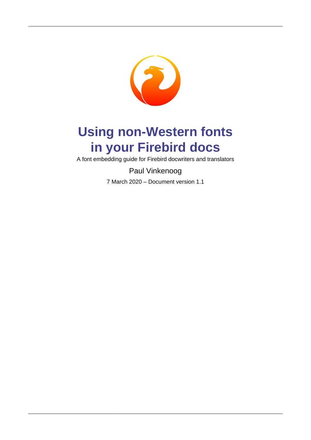

# **Using non-Western fonts in your Firebird docs**

A font embedding guide for Firebird docwriters and translators

Paul Vinkenoog

7 March 2020 – Document version 1.1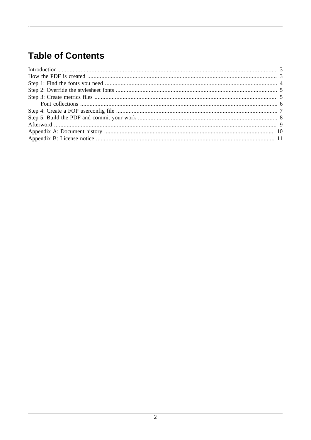### **Table of Contents**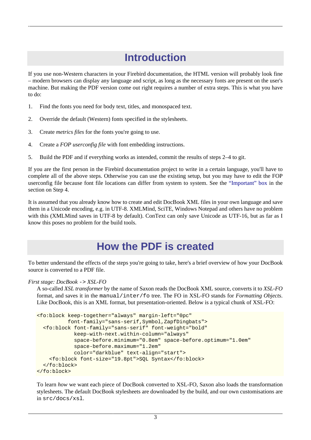### **Introduction**

<span id="page-2-0"></span>If you use non-Western characters in your Firebird documentation, the HTML version will probably look fine – modern browsers can display any language and script, as long as the necessary fonts are present on the user's machine. But making the PDF version come out right requires a number of extra steps. This is what you have to do:

- 1. Find the fonts you need for body text, titles, and monospaced text.
- 2. Override the default (Western) fonts specified in the stylesheets.
- 3. Create *metrics files* for the fonts you're going to use.
- 4. Create a *FOP userconfig file* with font embedding instructions.
- 5. Build the PDF and if everything works as intended, commit the results of steps 2–4 to git.

If you are the first person in the Firebird documentation project to write in a certain language, you'll have to complete all of the above steps. Otherwise you can use the existing setup, but you may have to edit the FOP userconfig file because font file locations can differ from system to system. See the ["Important" box](#page-6-1) in the section on Step 4.

<span id="page-2-1"></span>It is assumed that you already know how to create and edit DocBook XML files in your own language and save them in a Unicode encoding, e.g. in UTF-8. XMLMind, SciTE, Windows Notepad and others have no problem with this (XMLMind saves in UTF-8 by default). ConText can only save Unicode as UTF-16, but as far as I know this poses no problem for the build tools.

### **How the PDF is created**

To better understand the effects of the steps you're going to take, here's a brief overview of how your DocBook source is converted to a PDF file.

#### *First stage: DocBook* -> *XSL-FO*

A so-called *XSL transformer* by the name of Saxon reads the DocBook XML source, converts it to *XSL-FO* format, and saves it in the manual/inter/fo tree. The FO in XSL-FO stands for *Formatting Objects*. Like DocBook, this is an XML format, but presentation-oriented. Below is a typical chunk of XSL-FO:

```
<fo:block keep-together="always" margin-left="0pc"
           font-family="sans-serif,Symbol,ZapfDingbats">
   <fo:block font-family="sans-serif" font-weight="bold" 
             keep-with-next.within-column="always"
             space-before.minimum="0.8em" space-before.optimum="1.0em"
             space-before.maximum="1.2em" 
             color="darkblue" text-align="start">
     <fo:block font-size="19.8pt">SQL Syntax</fo:block>
   </fo:block>
</fo:block>
```
To learn *how* we want each piece of DocBook converted to XSL-FO, Saxon also loads the transformation stylesheets. The default DocBook stylesheets are downloaded by the build, and our own customisations are in src/docs/xsl.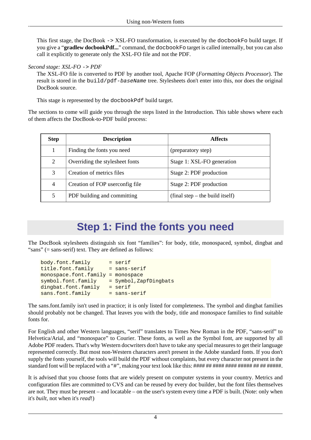This first stage, the DocBook -> XSL-FO transformation, is executed by the docbookFo build target. If you give a "**gradlew docbookPdf...**" command, the docbookFo target is called internally, but you can also call it explicitly to generate only the XSL-FO file and not the PDF.

#### *Second stage: XSL-FO* -> *PDF*

The XSL-FO file is converted to PDF by another tool, Apache FOP (*Formatting Objects Processor*). The result is stored in the build/pdf-baseName tree. Stylesheets don't enter into this, nor does the original DocBook source.

This stage is represented by the docbookPdf build target.

The sections to come will guide you through the steps listed in the Introduction. This table shows where each of them affects the DocBook-to-PDF build process:

| <b>Step</b>                          | <b>Description</b>          | <b>Affects</b>                                  |
|--------------------------------------|-----------------------------|-------------------------------------------------|
|                                      | Finding the fonts you need  | (preparatory step)                              |
| 2<br>Overriding the stylesheet fonts |                             | Stage 1: XSL-FO generation                      |
| 3                                    | Creation of metrics files   | Stage 2: PDF production                         |
| 4<br>Creation of FOP userconfig file |                             | Stage 2: PDF production                         |
| 5                                    | PDF building and committing | $(\text{final step} - \text{the build itself})$ |

### **Step 1: Find the fonts you need**

<span id="page-3-0"></span>The DocBook stylesheets distinguish six font "families": for body, title, monospaced, symbol, dingbat and "sans" (= sans-serif) text. They are defined as follows:

| body.font.family                  | $=$ serif              |
|-----------------------------------|------------------------|
| title.font.family                 | $=$ sans-serif         |
| monospace.font.family = monospace |                        |
| symbol.font.family                | = Symbol, ZapfDingbats |
| dingbat.font.family               | $=$ serif              |
| sans.font.family                  | $=$ sans-serif         |

The sans.font.family isn't used in practice; it is only listed for completeness. The symbol and dingbat families should probably not be changed. That leaves you with the body, title and monospace families to find suitable fonts for.

For English and other Western languages, "serif" translates to Times New Roman in the PDF, "sans-serif" to Helvetica/Arial, and "monospace" to Courier. These fonts, as well as the Symbol font, are supported by all Adobe PDF readers. That's why Western docwriters don't have to take any special measures to get their language represented correctly. But most non-Western characters aren't present in the Adobe standard fonts. If you don't supply the fonts yourself, the tools will build the PDF without complaints, but every character not present in the standard font will be replaced with a "#", making your text look like this: #### ##### #######################

It is advised that you choose fonts that are widely present on computer systems in your country. Metrics and configuration files are committed to CVS and can be reused by every doc builder, but the font files themselves are not. They must be present – and locatable – on the user's system every time a PDF is built. (Note: only when it's *built*, not when it's *read*!)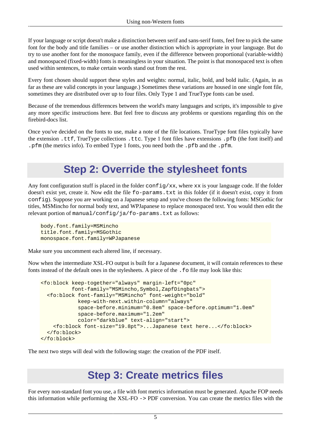If your language or script doesn't make a distinction between serif and sans-serif fonts, feel free to pick the same font for the body and title families – or use another distinction which is appropriate in your language. But do try to use another font for the monospace family, even if the difference between proportional (variable-width) and monospaced (fixed-width) fonts is meaningless in your situation. The point is that monospaced text is often used within sentences, to make certain words stand out from the rest.

Every font chosen should support these styles and weights: normal, italic, bold, and bold italic. (Again, in as far as these are valid concepts in your language.) Sometimes these variations are housed in one single font file, sometimes they are distributed over up to four files. Only Type 1 and TrueType fonts can be used.

Because of the tremendous differences between the world's many languages and scripts, it's impossible to give any more specific instructions here. But feel free to discuss any problems or questions regarding this on the firebird-docs list.

<span id="page-4-0"></span>Once you've decided on the fonts to use, make a note of the file locations. TrueType font files typically have the extension .ttf, TrueType collections .ttc. Type 1 font files have extensions .pfb (the font itself) and .pfm (the metrics info). To embed Type 1 fonts, you need both the .pfb and the .pfm.

### **Step 2: Override the stylesheet fonts**

Any font configuration stuff is placed in the folder  $\text{config}/xx$ , where  $xx$  is your language code. If the folder doesn't exist yet, create it. Now edit the file fo-params.txt in this folder (if it doesn't exist, copy it from config). Suppose you are working on a Japanese setup and you've chosen the following fonts: MSGothic for titles, MSMincho for normal body text, and WPJapanese to replace monospaced text. You would then edit the relevant portion of manual/config/ja/fo-params.txt as follows:

```
body.font.family=MSMincho
title.font.family=MSGothic
monospace.font.family=WPJapanese
```
Make sure you uncomment each altered line, if necessary.

Now when the intermediate XSL-FO output is built for a Japanese document, it will contain references to these fonts instead of the default ones in the stylesheets. A piece of the .fo file may look like this:

```
<fo:block keep-together="always" margin-left="0pc"
           font-family="MSMincho,Symbol,ZapfDingbats">
   <fo:block font-family="MSMincho" font-weight="bold" 
             keep-with-next.within-column="always"
             space-before.minimum="0.8em" space-before.optimum="1.0em"
             space-before.maximum="1.2em" 
             color="darkblue" text-align="start">
     <fo:block font-size="19.8pt">...Japanese text here...</fo:block>
   </fo:block>
</fo:block>
```
<span id="page-4-1"></span>The next two steps will deal with the following stage: the creation of the PDF itself.

### **Step 3: Create metrics files**

For every non-standard font you use, a file with font metrics information must be generated. Apache FOP needs this information while performing the XSL-FO -> PDF conversion. You can create the metrics files with the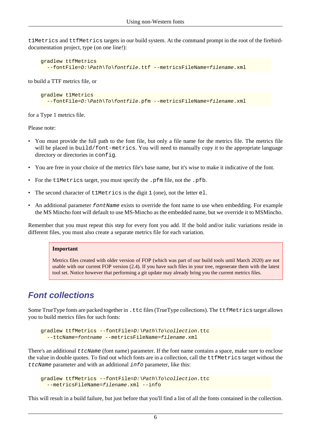t1Metrics and ttfMetrics targets in our build system. At the command prompt in the root of the firebirddocumentation project, type (on one line!):

```
gradlew ttfMetrics
   --fontFile=D:\Path\To\fontfile.ttf --metricsFileName=filename.xml
```
to build a TTF metrics file, or

```
gradlew t1Metrics
  --fontFile=D:\Path\To\fontfile.pfm --metricsFileName=filename.xml
```
for a Type 1 metrics file.

Please note:

- You must provide the full path to the font file, but only a file name for the metrics file. The metrics file will be placed in build/font-metrics. You will need to manually copy it to the appropriate language directory or directories in config.
- You are free in your choice of the metrics file's base name, but it's wise to make it indicative of the font.
- For the t1Metrics target, you must specify the .pfm file, not the .pfb.
- The second character of t1Metrics is the digit 1 (one), not the letter el.
- An additional parameter fontName exists to override the font name to use when embedding. For example the MS Mincho font will default to use MS-Mincho as the embedded name, but we override it to MSMincho.

Remember that you must repeat this step for every font you add. If the bold and/or italic variations reside in different files, you must also create a separate metrics file for each variation.

#### **Important**

Metrics files created with older version of FOP (which was part of our build tools until March 2020) are not usable with our current FOP version (2.4). If you have such files in your tree, regenerate them with the latest tool set. Notice however that performing a git update may already bring you the current metrics files.

### <span id="page-5-0"></span>**Font collections**

Some TrueType fonts are packed together in . ttc files (TrueType collections). The ttfMetrics target allows you to build metrics files for such fonts:

```
gradlew ttfMetrics --fontFile=D:\Path\To\collection.ttc 
   --ttcName=fontname --metricsFileName=filename.xml
```
There's an additional  $ttcName$  (font name) parameter. If the font name contains a space, make sure to enclose the value in double quotes. To find out which fonts are in a collection, call the ttfMetrics target without the  $t$ t $c$ Name parameter and with an additional  $i$ n $f$ o parameter, like this:

```
gradlew ttfMetrics --fontFile=D:\Path\To\collection.ttc
   --metricsFileName=filename.xml --info
```
This will result in a build failure, but just before that you'll find a list of all the fonts contained in the collection.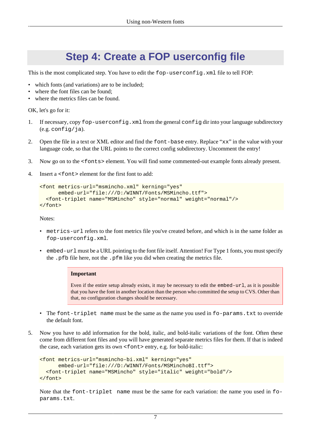### **Step 4: Create a FOP userconfig file**

<span id="page-6-0"></span>This is the most complicated step. You have to edit the fop-userconfig. xml file to tell FOP:

- which fonts (and variations) are to be included;
- where the font files can be found:
- where the metrics files can be found.

OK, let's go for it:

- 1. If necessary, copy fop-userconfig.xml from the general config dir into your language subdirectory  $(e.g. confiq/ia).$
- 2. Open the file in a text or XML editor and find the font-base entry. Replace "xx" in the value with your language code, so that the URL points to the correct config subdirectory. Uncomment the entry!
- 3. Now go on to the <fonts> element. You will find some commented-out example fonts already present.
- 4. Insert a <font> element for the first font to add:

```
<font metrics-url="msmincho.xml" kerning="yes"
       embed-url="file:///D:/WINNT/Fonts/MSMincho.ttf">
   <font-triplet name="MSMincho" style="normal" weight="normal"/>
</font>
```
Notes:

- metrics-url refers to the font metrics file you've created before, and which is in the same folder as fop-userconfig.xml.
- <span id="page-6-1"></span>• embed-url must be a URL pointing to the font file itself. Attention! For Type 1 fonts, you must specify the .pfb file here, not the .pfm like you did when creating the metrics file.

#### **Important**

Even if the entire setup already exists, it may be necessary to edit the embed-url, as it is possible that you have the font in another location than the person who committed the setup to CVS. Other than that, no configuration changes should be necessary.

- The font-triplet name must be the same as the name you used in fo-params.txt to override the default font.
- 5. Now you have to add information for the bold, italic, and bold-italic variations of the font. Often these come from different font files and you will have generated separate metrics files for them. If that is indeed the case, each variation gets its own  $\le$  font  $\ge$  entry, e.g. for bold-italic:

```
<font metrics-url="msmincho-bi.xml" kerning="yes"
       embed-url="file:///D:/WINNT/Fonts/MSMinchoBI.ttf">
   <font-triplet name="MSMincho" style="italic" weight="bold"/>
</font>
```
Note that the font-triplet name must be the same for each variation: the name you used in foparams.txt.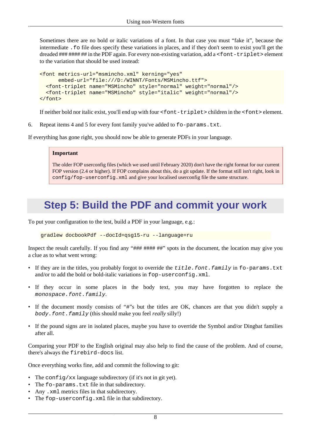Sometimes there are no bold or italic variations of a font. In that case you must "fake it", because the intermediate .fo file does specify these variations in places, and if they don't seem to exist you'll get the dreaded ### #### ## in the PDF again. For every non-existing variation, add a <font-triplet> element to the variation that should be used instead:

```
<font metrics-url="msmincho.xml" kerning="yes"
       embed-url="file:///D:/WINNT/Fonts/MSMincho.ttf">
   <font-triplet name="MSMincho" style="normal" weight="normal"/>
   <font-triplet name="MSMincho" style="italic" weight="normal"/>
</font>
```
If neither bold nor italic exist, you'll end up with four <font-triplet> children in the <font> element.

6. Repeat items 4 and 5 for every font family you've added to  $f_{\text{o}}$ -params.txt.

If everything has gone right, you should now be able to generate PDFs in your language.

#### **Important**

The older FOP userconfig files (which we used until February 2020) don't have the right format for our current FOP version (2.4 or higher). If FOP complains about this, do a git update. If the format still isn't right, look in config/fop-userconfig.xml and give your localised userconfig file the same structure.

### <span id="page-7-0"></span>**Step 5: Build the PDF and commit your work**

To put your configuration to the test, build a PDF in your language, e.g.:

gradlew docbookPdf --docId=qsg15-ru --language=ru

Inspect the result carefully. If you find any "### #### ##" spots in the document, the location may give you a clue as to what went wrong:

- If they are in the titles, you probably forgot to override the title.font.family in fo-params.txt and/or to add the bold or bold-italic variations in fop-userconfig.xml.
- If they occur in some places in the body text, you may have forgotten to replace the monospace.font.family.
- If the document mostly consists of "#"s but the titles are OK, chances are that you didn't supply a body.font.family (this should make you feel *really* silly!)
- If the pound signs are in isolated places, maybe you have to override the Symbol and/or Dingbat families after all.

Comparing your PDF to the English original may also help to find the cause of the problem. And of course, there's always the firebird-docs list.

Once everything works fine, add and commit the following to git:

- The config/xx language subdirectory (if it's not in git yet).
- The fo-params.txt file in that subdirectory.
- Any .xml metrics files in that subdirectory.
- The fop-userconfig.xml file in that subdirectory.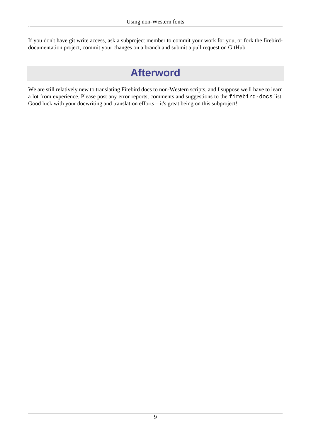<span id="page-8-0"></span>If you don't have git write access, ask a subproject member to commit your work for you, or fork the firebirddocumentation project, commit your changes on a branch and submit a pull request on GitHub.

### **Afterword**

We are still relatively new to translating Firebird docs to non-Western scripts, and I suppose we'll have to learn a lot from experience. Please post any error reports, comments and suggestions to the firebird-docs list. Good luck with your docwriting and translation efforts – it's great being on this subproject!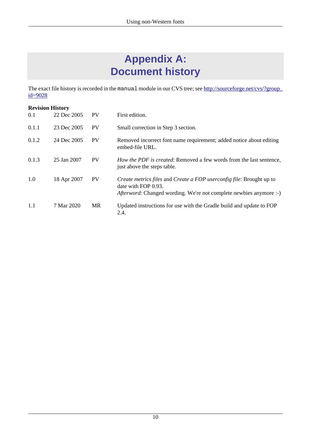## **Appendix A: Document history**

<span id="page-9-0"></span>The exact file history is recorded in the manual module in our CVS tree; see [http://sourceforge.net/cvs/?group\\_](http://sourceforge.net/cvs/?group_id=9028)  $id = 9028$ 

| <b>Revision History</b> |             |           |                                                                                                                                                                   |  |  |  |
|-------------------------|-------------|-----------|-------------------------------------------------------------------------------------------------------------------------------------------------------------------|--|--|--|
| 0.1                     | 22 Dec 2005 | <b>PV</b> | First edition.                                                                                                                                                    |  |  |  |
| 0.1.1                   | 23 Dec 2005 | <b>PV</b> | Small correction in Step 3 section.                                                                                                                               |  |  |  |
| 0.1.2                   | 24 Dec 2005 | <b>PV</b> | Removed incorrect font name requirement; added notice about editing<br>embed-file URL.                                                                            |  |  |  |
| 0.1.3                   | 25 Jan 2007 | <b>PV</b> | How the PDF is created: Removed a few words from the last sentence,<br>just above the steps table.                                                                |  |  |  |
| 1.0                     | 18 Apr 2007 | <b>PV</b> | Create metrics files and Create a FOP userconfig file: Brought up to<br>date with FOP 0.93.<br>Afterword: Changed wording. We're not complete newbies anymore :-) |  |  |  |
| 1.1                     | 7 Mar 2020  | <b>MR</b> | Updated instructions for use with the Gradle build and update to FOP<br>2.4.                                                                                      |  |  |  |